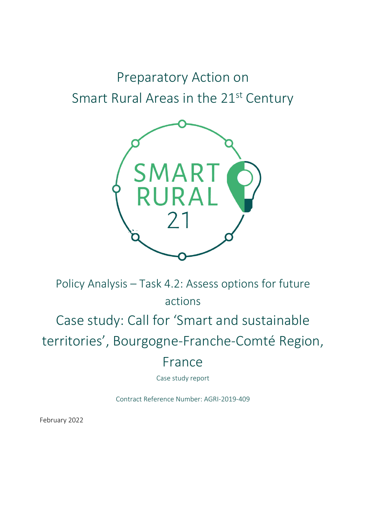# Preparatory Action on Smart Rural Areas in the 21<sup>st</sup> Century



Policy Analysis – Task 4.2: Assess options for future actions Case study: Call for 'Smart and sustainable territories' , Bourgogne-Franche-Comté Region, France

Case study report

Contract Reference Number: AGRI-2019-409

February 2022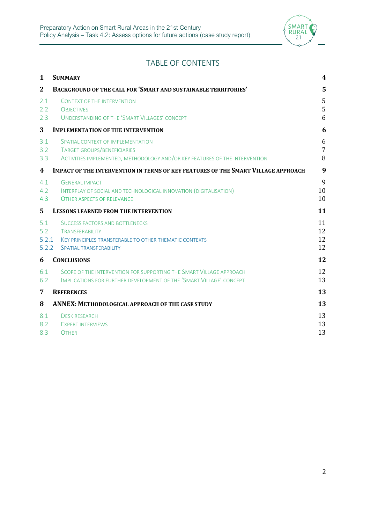

## TABLE OF CONTENTS

| 1                            | <b>SUMMARY</b>                                                                                                                                               | 4                        |
|------------------------------|--------------------------------------------------------------------------------------------------------------------------------------------------------------|--------------------------|
| $\mathbf{2}$                 | <b>BACKGROUND OF THE CALL FOR 'SMART AND SUSTAINABLE TERRITORIES'</b>                                                                                        | 5                        |
| 2.1<br>2.2<br>2.3            | <b>CONTEXT OF THE INTERVENTION</b><br><b>OBJECTIVES</b><br>UNDERSTANDING OF THE 'SMART VILLAGES' CONCEPT                                                     | 5<br>5<br>6              |
| 3                            | <b>IMPLEMENTATION OF THE INTERVENTION</b>                                                                                                                    | 6                        |
| 3.1<br>3.2<br>3.3            | SPATIAL CONTEXT OF IMPLEMENTATION<br>TARGET GROUPS/BENEFICIARIES<br>ACTIVITIES IMPLEMENTED, METHODOLOGY AND/OR KEY FEATURES OF THE INTERVENTION              | 6<br>$\overline{7}$<br>8 |
| 4                            | <b>IMPACT OF THE INTERVENTION IN TERMS OF KEY FEATURES OF THE SMART VILLAGE APPROACH</b>                                                                     | 9                        |
| 4.1<br>4.2<br>4.3            | <b>GENERAL IMPACT</b><br>INTERPLAY OF SOCIAL AND TECHNOLOGICAL INNOVATION (DIGITALISATION)<br><b>OTHER ASPECTS OF RELEVANCE</b>                              | 9<br>10<br>10            |
| 5                            | <b>LESSONS LEARNED FROM THE INTERVENTION</b>                                                                                                                 | 11                       |
| 5.1<br>5.2<br>5.2.1<br>5.2.2 | <b>SUCCESS FACTORS AND BOTTLENECKS</b><br><b>TRANSFERABILITY</b><br>KEY PRINCIPLES TRANSFERABLE TO OTHER THEMATIC CONTEXTS<br><b>SPATIAL TRANSFERABILITY</b> | 11<br>12<br>12<br>12     |
| 6                            | <b>CONCLUSIONS</b>                                                                                                                                           | 12                       |
| 6.1<br>6.2                   | SCOPE OF THE INTERVENTION FOR SUPPORTING THE SMART VILLAGE APPROACH<br>IMPLICATIONS FOR FURTHER DEVELOPMENT OF THE 'SMART VILLAGE' CONCEPT                   | 12<br>13                 |
| 7                            | <b>REFERENCES</b>                                                                                                                                            | 13                       |
| 8                            | ANNEX: METHODOLOGICAL APPROACH OF THE CASE STUDY                                                                                                             | 13                       |
| 8.1<br>8.2<br>8.3            | <b>DESK RESEARCH</b><br><b>EXPERT INTERVIEWS</b><br><b>OTHER</b>                                                                                             | 13<br>13<br>13           |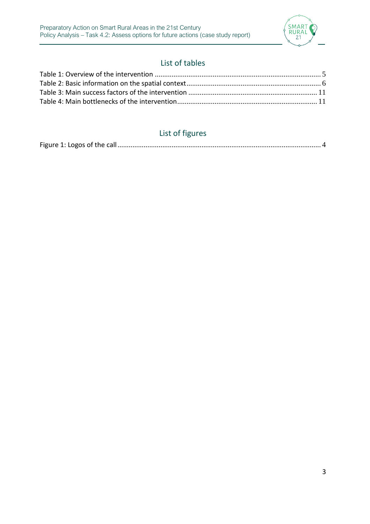

## List of tables

## List of figures

|--|--|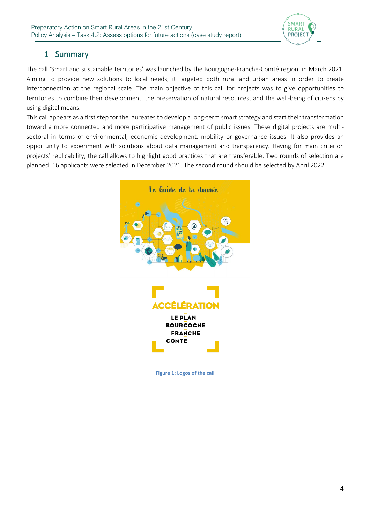

### 1 Summary

The call 'Smart and sustainable territories' was launched by the Bourgogne-Franche-Comté region, in March 2021. Aiming to provide new solutions to local needs, it targeted both rural and urban areas in order to create interconnection at the regional scale. The main objective of this call for projects was to give opportunities to territories to combine their development, the preservation of natural resources, and the well-being of citizens by using digital means.

This call appears as a first step for the laureates to develop a long-term smart strategy and start their transformation toward a more connected and more participative management of public issues. These digital projects are multisectoral in terms of environmental, economic development, mobility or governance issues. It also provides an opportunity to experiment with solutions about data management and transparency. Having for main criterion projects' replicability, the call allows to highlight good practices that are transferable. Two rounds of selection are planned: 16 applicants were selected in December 2021. The second round should be selected by April 2022.



<span id="page-3-0"></span>**Figure 1: Logos of the call**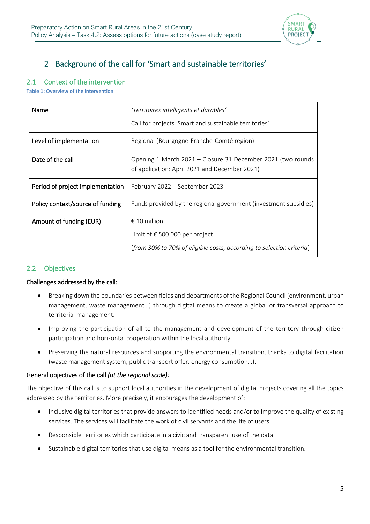

## 2 Background of the call for 'Smart and sustainable territories'

#### 2.1 Context of the intervention

<span id="page-4-0"></span>**Table 1: Overview of the intervention**

| Name                             | 'Territoires intelligents et durables'                                                                       |
|----------------------------------|--------------------------------------------------------------------------------------------------------------|
|                                  | Call for projects 'Smart and sustainable territories'                                                        |
| Level of implementation          | Regional (Bourgogne-Franche-Comté region)                                                                    |
| Date of the call                 | Opening 1 March 2021 – Closure 31 December 2021 (two rounds<br>of application: April 2021 and December 2021) |
| Period of project implementation | February 2022 - September 2023                                                                               |
| Policy context/source of funding | Funds provided by the regional government (investment subsidies)                                             |
| Amount of funding (EUR)          | € 10 million                                                                                                 |
|                                  | Limit of € 500 000 per project                                                                               |
|                                  | (from 30% to 70% of eligible costs, according to selection criteria)                                         |

#### 2.2 Objectives

#### Challenges addressed by the call:

- Breaking down the boundaries between fields and departments of the Regional Council (environment, urban management, waste management…) through digital means to create a global or transversal approach to territorial management.
- Improving the participation of all to the management and development of the territory through citizen participation and horizontal cooperation within the local authority.
- Preserving the natural resources and supporting the environmental transition, thanks to digital facilitation (waste management system, public transport offer, energy consumption…).

#### General objectives of the call *(at the regional scale)*:

The objective of this call is to support local authorities in the development of digital projects covering all the topics addressed by the territories. More precisely, it encourages the development of:

- Inclusive digital territories that provide answers to identified needs and/or to improve the quality of existing services. The services will facilitate the work of civil servants and the life of users.
- Responsible territories which participate in a civic and transparent use of the data.
- Sustainable digital territories that use digital means as a tool for the environmental transition.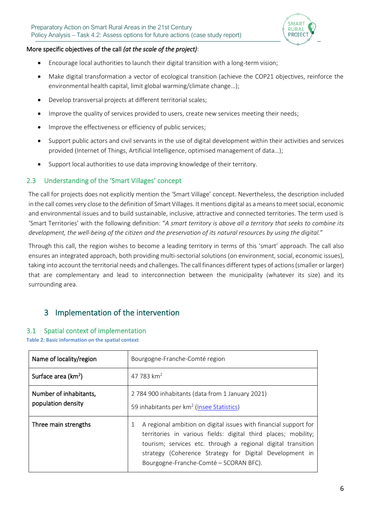

#### More specific objectives of the call *(at the scale of the project)*:

- Encourage local authorities to launch their digital transition with a long-term vision;
- Make digital transformation a vector of ecological transition (achieve the COP21 objectives, reinforce the environmental health capital, limit global warming/climate change…);
- Develop transversal projects at different territorial scales;
- Improve the quality of services provided to users, create new services meeting their needs;
- Improve the effectiveness or efficiency of public services;
- Support public actors and civil servants in the use of digital development within their activities and services provided (Internet of Things, Artificial Intelligence, optimised management of data…);
- Support local authorities to use data improving knowledge of their territory.

#### 2.3 Understanding of the 'Smart Villages' concept

The call for projects does not explicitly mention the 'Smart Village' concept. Nevertheless, the description included in the call comes very close to the definition of Smart Villages. It mentions digital as a means to meetsocial, economic and environmental issues and to build sustainable, inclusive, attractive and connected territories. The term used is 'Smart Territories' with the following definition: "*A smart territory is above all a territory that seeks to combine its development, the well-being of the citizen and the preservation of its natural resources by using the digital.*"

Through this call, the region wishes to become a leading territory in terms of this 'smart' approach. The call also ensures an integrated approach, both providing multi-sectorial solutions (on environment, social, economic issues), taking into account the territorial needs and challenges. The call finances different types of actions (smaller or larger) that are complementary and lead to interconnection between the municipality (whatever its size) and its surrounding area.

## 3 Implementation of the intervention

#### 3.1 Spatial context of implementation

<span id="page-5-0"></span>**Table 2: Basic information on the spatial context**

| Name of locality/region                      | Bourgogne-Franche-Comté region                                                                                                                                                                                                                                                                          |
|----------------------------------------------|---------------------------------------------------------------------------------------------------------------------------------------------------------------------------------------------------------------------------------------------------------------------------------------------------------|
| Surface area (km <sup>2</sup> )              | 47 783 $km2$                                                                                                                                                                                                                                                                                            |
| Number of inhabitants,<br>population density | 2 784 900 inhabitants (data from 1 January 2021)<br>59 inhabitants per km <sup>2</sup> (Insee Statistics)                                                                                                                                                                                               |
| Three main strengths                         | A regional ambition on digital issues with financial support for<br>territories in various fields: digital third places; mobility;<br>tourism; services etc. through a regional digital transition<br>strategy (Coherence Strategy for Digital Development in<br>Bourgogne-Franche-Comté – SCORAN BFC). |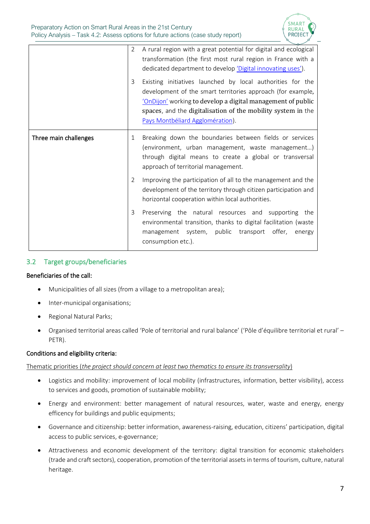

|                       | 2<br>3         | A rural region with a great potential for digital and ecological<br>transformation (the first most rural region in France with a<br>dedicated department to develop 'Digital innovating uses').<br>Existing initiatives launched by local authorities for the<br>development of the smart territories approach (for example, |
|-----------------------|----------------|------------------------------------------------------------------------------------------------------------------------------------------------------------------------------------------------------------------------------------------------------------------------------------------------------------------------------|
|                       |                | 'OnDijon' working to develop a digital management of public<br>spaces, and the digitalisation of the mobility system in the<br>Pays Montbéliard Agglomération).                                                                                                                                                              |
| Three main challenges | 1              | Breaking down the boundaries between fields or services<br>(environment, urban management, waste management)<br>through digital means to create a global or transversal<br>approach of territorial management.                                                                                                               |
|                       | $\overline{2}$ | Improving the participation of all to the management and the<br>development of the territory through citizen participation and<br>horizontal cooperation within local authorities.                                                                                                                                           |
|                       | 3              | Preserving the natural resources and supporting the<br>environmental transition, thanks to digital facilitation (waste<br>management system, public transport offer,<br>energy<br>consumption etc.).                                                                                                                         |

#### <span id="page-6-0"></span>3.2 Target groups/beneficiaries

#### Beneficiaries of the call:

- Municipalities of all sizes (from a village to a metropolitan area);
- Inter-municipal organisations;
- Regional Natural Parks;
- Organised territorial areas called 'Pole of territorial and rural balance' ('Pôle d'équilibre territorial et rural' PETR).

#### Conditions and eligibility criteria:

#### Thematic priorities (*the project should concern at least two thematics to ensure its transversality*)

- Logistics and mobility: improvement of local mobility (infrastructures, information, better visibility), access to services and goods, promotion of sustainable mobility;
- Energy and environment: better management of natural resources, water, waste and energy, energy efficency for buildings and public equipments;
- Governance and citizenship: better information, awareness-raising, education, citizens' participation, digital access to public services, e-governance;
- Attractiveness and economic development of the territory: digital transition for economic stakeholders (trade and craft sectors), cooperation, promotion of the territorial assets in terms of tourism, culture, natural heritage.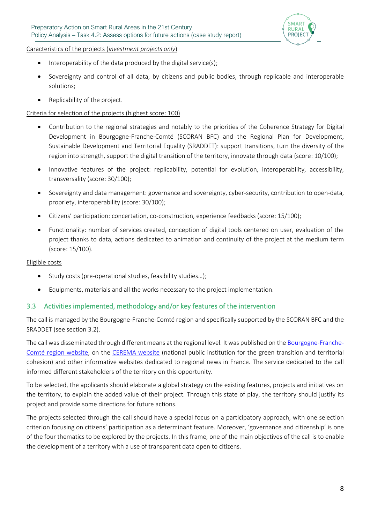

Caracteristics of the projects (*investment projects only*)

- Interoperability of the data produced by the digital service(s);
- Sovereignty and control of all data, by citizens and public bodies, through replicable and interoperable solutions;
- Replicability of the project.

#### Criteria for selection of the projects (highest score: 100)

- Contribution to the regional strategies and notably to the priorities of the Coherence Strategy for Digital Development in Bourgogne-Franche-Comté (SCORAN BFC) and the Regional Plan for Development, Sustainable Development and Territorial Equality (SRADDET): support transitions, turn the diversity of the region into strength, support the digital transition of the territory, innovate through data (score: 10/100);
- Innovative features of the project: replicability, potential for evolution, interoperability, accessibility, transversality (score: 30/100);
- Sovereignty and data management: governance and sovereignty, cyber-security, contribution to open-data, propriety, interoperability (score: 30/100);
- Citizens' participation: concertation, co-construction, experience feedbacks (score: 15/100);
- Functionality: number of services created, conception of digital tools centered on user, evaluation of the project thanks to data, actions dedicated to animation and continuity of the project at the medium term (score: 15/100).

#### Eligible costs

- Study costs (pre-operational studies, feasibility studies...);
- Equipments, materials and all the works necessary to the project implementation.

#### 3.3 Activities implemented, methodology and/or key features of the intervention

The call is managed by the Bourgogne-Franche-Comté region and specifically supported by the SCORAN BFC and the SRADDET (see sectio[n 3.2\)](#page-6-0).

The call was disseminated through different means at the regional level. It was published on th[e Bourgogne-Franche-](https://www.bourgognefranchecomte.fr/des-territoires-intelligents-et-durables-grace-au-numerique)[Comté region website](https://www.bourgognefranchecomte.fr/des-territoires-intelligents-et-durables-grace-au-numerique), on the [CEREMA website](https://www.cerema.fr/fr/actualites/cerema-appui-appel-projets-region-bourgogne-franche-comte) (national public institution for the green transition and territorial cohesion) and other informative websites dedicated to regional news in France. The service dedicated to the call informed different stakeholders of the territory on this opportunity.

To be selected, the applicants should elaborate a global strategy on the existing features, projects and initiatives on the territory, to explain the added value of their project. Through this state of play, the territory should justify its project and provide some directions for future actions.

The projects selected through the call should have a special focus on a participatory approach, with one selection criterion focusing on citizens' participation as a determinant feature. Moreover, 'governance and citizenship' is one of the four thematics to be explored by the projects. In this frame, one of the main objectives of the call is to enable the development of a territory with a use of transparent data open to citizens.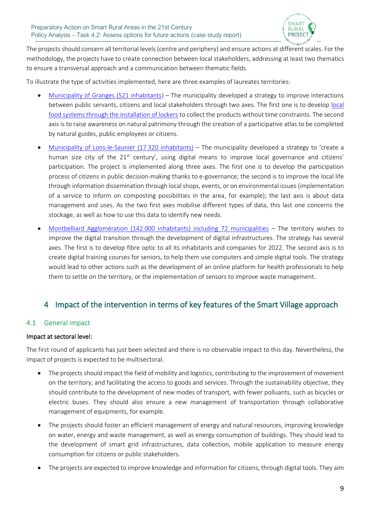

The projects should concern all territorial levels(centre and periphery) and ensure actions at different scales. For the methodology, the projects have to create connection between local stakeholders, addressing at least two thematics to ensure a transversal approach and a communication between thematic fields.

To illustrate the type of activities implemented, here are three examples of laureates territories:

- [Municipality of Granges \(521 inhabitants\)](https://www.bourgognefranchecomte.fr/des-territoires-intelligents-et-durables-grace-au-numerique) The municipality developed a strategy to improve interactions between public servants, citizens and [local](https://www.granges71.fr/developpement-des-circuits-alimentaires-de-proximite) stakeholders through two axes. The first one is to develop local [food systems through the installation of lockers](https://www.granges71.fr/developpement-des-circuits-alimentaires-de-proximite) to collect the products without time constraints. The second axis is to raise awareness on natural patrimony through the creation of a participative atlas to be completed by natural guides, public employees or citizens.
- [Municipality of Lons-le-Saunier \(17](https://www.bourgognefranchecomte.fr/des-territoires-intelligents-et-durables-grace-au-numerique) 320 inhabitants) The municipality developed a strategy to 'create a human size city of the 21<sup>st</sup> century', using digital means to improve local governance and citizens' participation. The project is implemented along three axes. The first one is to develop the participation process of citizens in public decision-making thanks to e-governance; the second is to improve the local life through information dissemination through local shops, events, or on environmental issues(implementation of a service to inform on composting possibilities in the area, for example); the last axis is about data management and uses. As the two first axes mobilise different types of data, this last one concerns the stockage, as well as how to use this data to identify new needs.
- Montbelliard Agglomération (142 [000 inhabitants\) including 72 municipalities](https://www.toutmontbeliard.com/2021/12/14/pays-de-montbeliard-agglomeration-labellisee-territoire-intelligent-et-durable/) The territory wishes to improve the digital transition through the development of digital infrastructures. The strategy has several axes. The first is to develop fibre optic to all its inhabitants and companies for 2022. The second axis is to create digital training courses for seniors, to help them use computers and simple digital tools. The strategy would lead to other actions such as the development of an online platform for health professionals to help them to settle on the territory, or the implementation of sensors to improve waste management.

### 4 Impact of the intervention in terms of key features of the Smart Village approach

#### 4.1 General impact

#### Impact at sectoral level:

The first round of applicants has just been selected and there is no observable impact to this day. Nevertheless, the impact of projects is expected to be multisectoral.

- The projects should impact the field of mobility and logistics, contributing to the improvement of movement on the territory, and facilitating the access to goods and services. Through the sustainability objective, they should contribute to the development of new modes of transport, with fewer polluants, such as bicycles or electric buses. They should also ensure a new management of transportation through collaborative management of equipments, for example.
- The projects should foster an efficient management of energy and natural resources, improving knowledge on water, energy and waste management, as well as energy consumption of buildings. They should lead to the development of smart grid infrastructures, data collection, mobile application to measure energy consumption for citizens or public stakeholders.
- The projects are expected to improve knowledge and information for citizens, through digital tools. They aim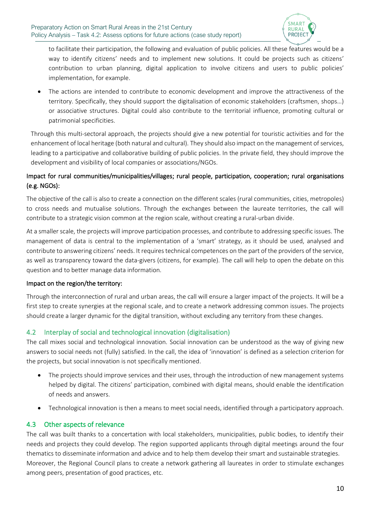

to facilitate their participation, the following and evaluation of public policies. All these features would be a way to identify citizens' needs and to implement new solutions. It could be projects such as citizens' contribution to urban planning, digital application to involve citizens and users to public policies' implementation, for example.

• The actions are intended to contribute to economic development and improve the attractiveness of the territory. Specifically, they should support the digitalisation of economic stakeholders (craftsmen, shops…) or associative structures. Digital could also contribute to the territorial influence, promoting cultural or patrimonial specificities.

Through this multi-sectoral approach, the projects should give a new potential for touristic activities and for the enhancement of local heritage (both natural and cultural). They should also impact on the management of services, leading to a participative and collaborative building of public policies. In the private field, they should improve the development and visibility of local companies or associations/NGOs.

#### Impact for rural communities/municipalities/villages; rural people, participation, cooperation; rural organisations (e.g. NGOs):

The objective of the call is also to create a connection on the different scales (rural communities, cities, metropoles) to cross needs and mutualise solutions. Through the exchanges between the laureate territories, the call will contribute to a strategic vision common at the region scale, without creating a rural-urban divide.

At a smaller scale, the projects will improve participation processes, and contribute to addressing specific issues. The management of data is central to the implementation of a 'smart' strategy, as it should be used, analysed and contribute to answering citizens' needs. It requires technical competences on the part of the providers of the service, as well as transparency toward the data-givers (citizens, for example). The call will help to open the debate on this question and to better manage data information.

#### Impact on the region/the territory:

Through the interconnection of rural and urban areas, the call will ensure a larger impact of the projects. It will be a first step to create synergies at the regional scale, and to create a network addressing common issues. The projects should create a larger dynamic for the digital transition, without excluding any territory from these changes.

#### 4.2 Interplay of social and technological innovation (digitalisation)

The call mixes social and technological innovation. Social innovation can be understood as the way of giving new answers to social needs not (fully) satisfied. In the call, the idea of 'innovation' is defined as a selection criterion for the projects, but social innovation is not specifically mentioned.

- The projects should improve services and their uses, through the introduction of new management systems helped by digital. The citizens' participation, combined with digital means, should enable the identification of needs and answers.
- Technological innovation is then a means to meet social needs, identified through a participatory approach.

#### 4.3 Other aspects of relevance

The call was built thanks to a concertation with local stakeholders, municipalities, public bodies, to identify their needs and projects they could develop. The region supported applicants through digital meetings around the four thematics to disseminate information and advice and to help them develop their smart and sustainable strategies. Moreover, the Regional Council plans to create a network gathering all laureates in order to stimulate exchanges among peers, presentation of good practices, etc.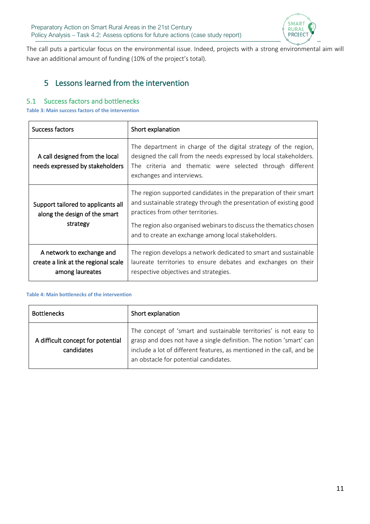

The call puts a particular focus on the environmental issue. Indeed, projects with a strong environmental aim will have an additional amount of funding (10% of the project's total).

## 5 Lessons learned from the intervention

#### 5.1 Success factors and bottlenecks

<span id="page-10-0"></span>**Table 3: Main success factors of the intervention**

| Success factors                                                                     | Short explanation                                                                                                                                                                                                                                                                                         |
|-------------------------------------------------------------------------------------|-----------------------------------------------------------------------------------------------------------------------------------------------------------------------------------------------------------------------------------------------------------------------------------------------------------|
| A call designed from the local<br>needs expressed by stakeholders                   | The department in charge of the digital strategy of the region,<br>designed the call from the needs expressed by local stakeholders.<br>The criteria and thematic were selected through different<br>exchanges and interviews.                                                                            |
| Support tailored to applicants all<br>along the design of the smart<br>strategy     | The region supported candidates in the preparation of their smart<br>and sustainable strategy through the presentation of existing good<br>practices from other territories.<br>The region also organised webinars to discuss the thematics chosen<br>and to create an exchange among local stakeholders. |
| A network to exchange and<br>create a link at the regional scale<br>among laureates | The region develops a network dedicated to smart and sustainable<br>laureate territories to ensure debates and exchanges on their<br>respective objectives and strategies.                                                                                                                                |

#### <span id="page-10-1"></span>**Table 4: Main bottlenecks of the intervention**

| <b>Bottlenecks</b>                              | Short explanation                                                                                                                                                                                                                                          |
|-------------------------------------------------|------------------------------------------------------------------------------------------------------------------------------------------------------------------------------------------------------------------------------------------------------------|
| A difficult concept for potential<br>candidates | The concept of 'smart and sustainable territories' is not easy to<br>grasp and does not have a single definition. The notion 'smart' can<br>include a lot of different features, as mentioned in the call, and be<br>an obstacle for potential candidates. |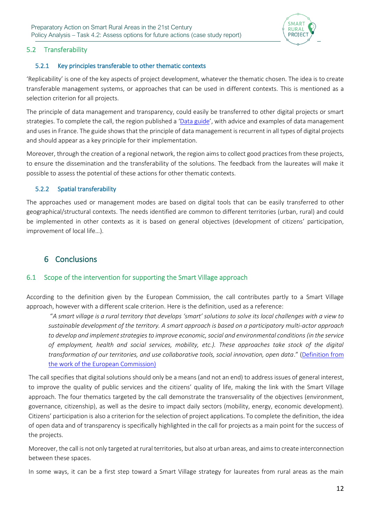

#### 5.2 Transferability

#### 5.2.1 Key principles transferable to other thematic contexts

'Replicability' is one of the key aspects of project development, whatever the thematic chosen. The idea is to create transferable management systems, or approaches that can be used in different contexts. This is mentioned as a selection criterion for all projects.

The principle of data management and transparency, could easily be transferred to other digital projects or smart strategies. To complete the call, the region published a '[Data guide](https://trouver.ternum-bfc.fr/dataset/guide-de-la-donnee/resource/01cb6d6e-ac2b-43fe-bc92-d26d3f2fdcaf)', with advice and examples of data management and uses in France. The guide shows that the principle of data management is recurrent in all types of digital projects and should appear as a key principle for their implementation.

Moreover, through the creation of a regional network, the region aims to collect good practices from these projects, to ensure the dissemination and the transferability of the solutions. The feedback from the laureates will make it possible to assess the potential of these actions for other thematic contexts.

#### 5.2.2 Spatial transferability

The approaches used or management modes are based on digital tools that can be easily transferred to other geographical/structural contexts. The needs identified are common to different territories (urban, rural) and could be implemented in other contexts as it is based on general objectives (development of citizens' participation, improvement of local life…).

### 6 Conclusions

#### 6.1 Scope of the intervention for supporting the Smart Village approach

According to the definition given by the European Commission, the call contributes partly to a Smart Village approach, however with a different scale criterion. Here is the definition, used as a reference:

"*A smart village is a rural territory that develops 'smart' solutions to solve its local challenges with a view to sustainable development of the territory. A smart approach is based on a participatory multi-actor approach to develop and implement strategies to improve economic, social and environmental conditions (in the service of employment, health and social services, mobility, etc.). These approaches take stock of the digital transformation of our territories, and use collaborative tools, social innovation, open data*." [\(Definition from](https://adrets-asso.fr/files/WantedEpciDeLEspaceAlpinMotivePourEng_bf_fichier_2018_courrier_ami-territoire-pillote-sv_vweb_vf.pdf)  [the work of the European Commission\)](https://adrets-asso.fr/files/WantedEpciDeLEspaceAlpinMotivePourEng_bf_fichier_2018_courrier_ami-territoire-pillote-sv_vweb_vf.pdf)

The call specifies that digital solutions should only be a means (and not an end) to address issues of general interest, to improve the quality of public services and the citizens' quality of life, making the link with the Smart Village approach. The four thematics targeted by the call demonstrate the transversality of the objectives (environment, governance, citizenship), as well as the desire to impact daily sectors (mobility, energy, economic development). Citizens' participation is also a criterion for the selection of project applications. To complete the definition, the idea of open data and of transparency is specifically highlighted in the call for projects as a main point for the success of the projects.

Moreover, the call is not only targeted at rural territories, but also at urban areas, and aims to create interconnection between these spaces.

In some ways, it can be a first step toward a Smart Village strategy for laureates from rural areas as the main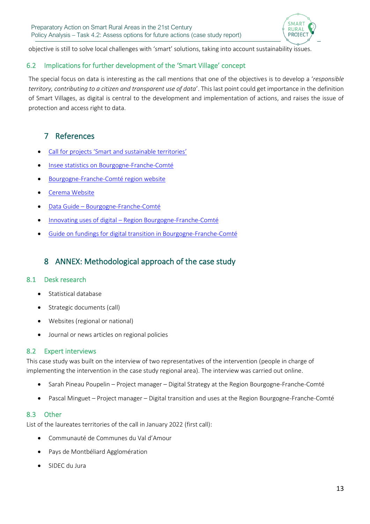

objective is still to solve local challenges with 'smart' solutions, taking into account sustainability issues.

#### 6.2 Implications for further development of the 'Smart Village' concept

The special focus on data is interesting as the call mentions that one of the objectives is to develop a '*responsible territory, contributing to a citizen and transparent use of data*'. This last point could get importance in the definition of Smart Villages, as digital is central to the development and implementation of actions, and raises the issue of protection and access right to data.

## 7 Reference[s](https://www.insee.fr/fr/statistiques/1285490#:~:text=En%20nombre%20d)

- Call for projects '[Smart and sustainable territories](https://www.echodescommunes.fr/upload/2021/10/file/annexe_1_aap_terrinum.pdf)'
- Insee statistics on Bourgogne-Franche-Comté
- [Bourgogne-Franche-](file:///C:/Users/severine/Dropbox/MISSIONS%20EN%20COURS/Smart%20Village/SMART%2021/Policy%20analysis%20-%20Case%20study/•%09https:/www.bourgognefranchecomte.fr/des-territoires-intelligents-et-durables-grace-au-numerique)Comté region website
- [Cerema Website](file:///C:/Users/severine/Dropbox/MISSIONS%20EN%20COURS/Smart%20Village/SMART%2021/Policy%20analysis%20-%20Case%20study/•%09https:/www.cerema.fr/fr/actualites/cerema-appui-appel-projets-region-bourgogne-franche-comte)
- Data Guide [Bourgogne-Franche-](https://trouver.ternum-bfc.fr/dataset/guide-de-la-donnee/resource/01cb6d6e-ac2b-43fe-bc92-d26d3f2fdcaf)Comté
- Innovating uses of digital [Region Bourgogne-Franche-](https://www.bourgognefranchecomte.fr/node/1038)Comté
- [Guide on fundings for digital transition in Bourgogne-Franche-](https://www.echodescommunes.fr/upload/2021/10/file/Guide%20des%20aides%20DTN%20f.pdf)Comté

## 8 ANNEX: Methodological approach of the case study

#### 8.1 Desk research

- Statistical database
- Strategic documents (call)
- Websites (regional or national)
- Journal or news articles on regional policies

#### 8.2 Expert interviews

This case study was built on the interview of two representatives of the intervention (people in charge of implementing the intervention in the case study regional area). The interview was carried out online.

- Sarah Pineau Poupelin Project manager Digital Strategy at the Region Bourgogne-Franche-Comté
- Pascal Minguet Project manager Digital transition and uses at the Region Bourgogne-Franche-Comté

#### 8.3 Other

List of the laureates territories of the call in January 2022 (first call):

- Communauté de Communes du Val d'Amour
- Pays de Montbéliard Agglomération
- SIDEC du Jura